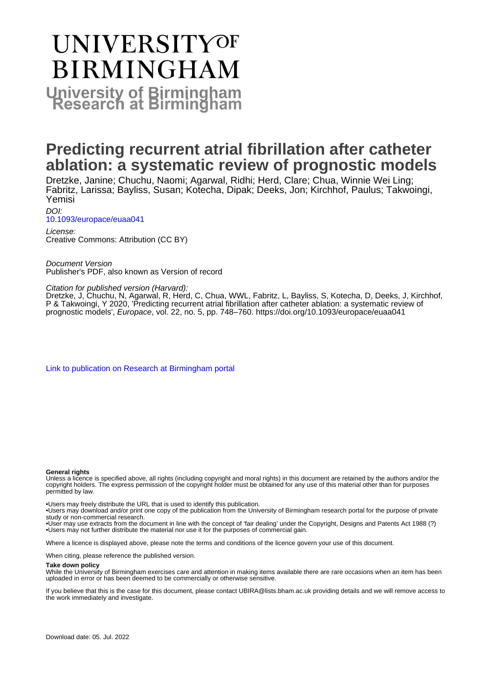# UNIVERSITYOF **BIRMINGHAM University of Birmingham**

# **Predicting recurrent atrial fibrillation after catheter ablation: a systematic review of prognostic models**

Dretzke, Janine; Chuchu, Naomi; Agarwal, Ridhi; Herd, Clare; Chua, Winnie Wei Ling; Fabritz, Larissa; Bayliss, Susan; Kotecha, Dipak; Deeks, Jon; Kirchhof, Paulus; Takwoingi, Yemisi

DOI: [10.1093/europace/euaa041](https://doi.org/10.1093/europace/euaa041)

License: Creative Commons: Attribution (CC BY)

Document Version Publisher's PDF, also known as Version of record

Citation for published version (Harvard):

Dretzke, J, Chuchu, N, Agarwal, R, Herd, C, Chua, WWL, Fabritz, L, Bayliss, S, Kotecha, D, Deeks, J, Kirchhof, P & Takwoingi, Y 2020, 'Predicting recurrent atrial fibrillation after catheter ablation: a systematic review of prognostic models', Europace, vol. 22, no. 5, pp. 748–760. <https://doi.org/10.1093/europace/euaa041>

[Link to publication on Research at Birmingham portal](https://birmingham.elsevierpure.com/en/publications/c076a69b-da0c-4df2-b4ae-23cec6d06f12)

#### **General rights**

Unless a licence is specified above, all rights (including copyright and moral rights) in this document are retained by the authors and/or the copyright holders. The express permission of the copyright holder must be obtained for any use of this material other than for purposes permitted by law.

• Users may freely distribute the URL that is used to identify this publication.

• Users may download and/or print one copy of the publication from the University of Birmingham research portal for the purpose of private study or non-commercial research.

• User may use extracts from the document in line with the concept of 'fair dealing' under the Copyright, Designs and Patents Act 1988 (?) • Users may not further distribute the material nor use it for the purposes of commercial gain.

Where a licence is displayed above, please note the terms and conditions of the licence govern your use of this document.

When citing, please reference the published version.

#### **Take down policy**

While the University of Birmingham exercises care and attention in making items available there are rare occasions when an item has been uploaded in error or has been deemed to be commercially or otherwise sensitive.

If you believe that this is the case for this document, please contact UBIRA@lists.bham.ac.uk providing details and we will remove access to the work immediately and investigate.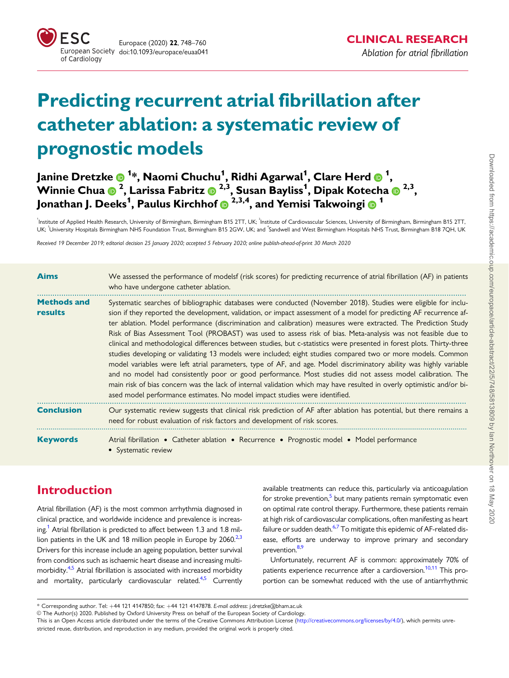<span id="page-1-0"></span>

# Predicting recurrent atrial fibrillation after catheter ablation: a systematic review of prognostic models

# Janine Dretzke @ <sup>1</sup>\*, Naomi Chuchu<sup>1</sup>, Ridhi Agarwal<sup>1</sup>, Clare Herd @ <sup>1</sup>, Winnie Chua <sup>2</sup> , Larissa Fabritz 2,3, Susan Bayliss1 , Dipak Kotecha 2,3, Jonathan J. Deeks1 , Paulus Kirchhof 2,3,4, and Yemisi Takwoingi <sup>1</sup>

Institute of Applied Health Research, University of Birmingham, Birmingham B15 2TT, UK; <sup>2</sup>Institute of Cardiovascular Sciences, University of Birmingham, Birmingham B15 2TT, UK; <sup>3</sup>University Hospitals Birmingham NHS Foundation Trust, Birmingham B15 2GW, UK; and <sup>4</sup>Sandwell and West Birmingham Hospitals NHS Trust, Birmingham B18 7QH, UK

Received 19 December 2019; editorial decision 25 January 2020; accepted 5 February 2020; online publish-ahead-of-print 30 March 2020

| <b>Aims</b>                   | We assessed the performance of modelsf (risk scores) for predicting recurrence of atrial fibrillation (AF) in patients<br>who have undergone catheter ablation.                                                                                                                                                                                                                                                                                                                                                                                                                                                                                                                                                                                                                                                                                                                                                                                                                                                                                                                                                                                               |
|-------------------------------|---------------------------------------------------------------------------------------------------------------------------------------------------------------------------------------------------------------------------------------------------------------------------------------------------------------------------------------------------------------------------------------------------------------------------------------------------------------------------------------------------------------------------------------------------------------------------------------------------------------------------------------------------------------------------------------------------------------------------------------------------------------------------------------------------------------------------------------------------------------------------------------------------------------------------------------------------------------------------------------------------------------------------------------------------------------------------------------------------------------------------------------------------------------|
| <b>Methods and</b><br>results | Systematic searches of bibliographic databases were conducted (November 2018). Studies were eligible for inclu-<br>sion if they reported the development, validation, or impact assessment of a model for predicting AF recurrence af-<br>ter ablation. Model performance (discrimination and calibration) measures were extracted. The Prediction Study<br>Risk of Bias Assessment Tool (PROBAST) was used to assess risk of bias. Meta-analysis was not feasible due to<br>clinical and methodological differences between studies, but c-statistics were presented in forest plots. Thirty-three<br>studies developing or validating 13 models were included; eight studies compared two or more models. Common<br>model variables were left atrial parameters, type of AF, and age. Model discriminatory ability was highly variable<br>and no model had consistently poor or good performance. Most studies did not assess model calibration. The<br>main risk of bias concern was the lack of internal validation which may have resulted in overly optimistic and/or bi-<br>ased model performance estimates. No model impact studies were identified. |
| <b>Conclusion</b>             | Our systematic review suggests that clinical risk prediction of AF after ablation has potential, but there remains a<br>need for robust evaluation of risk factors and development of risk scores.                                                                                                                                                                                                                                                                                                                                                                                                                                                                                                                                                                                                                                                                                                                                                                                                                                                                                                                                                            |
| <b>Keywords</b>               | Atrial fibrillation • Catheter ablation • Recurrence • Prognostic model • Model performance<br>• Systematic review                                                                                                                                                                                                                                                                                                                                                                                                                                                                                                                                                                                                                                                                                                                                                                                                                                                                                                                                                                                                                                            |

# Introduction

Atrial fibrillation (AF) is the most common arrhythmia diagnosed in clinical practice, and worldwide incidence and prevalence is increasing.<sup>1</sup> Atrial fibrillation is predicted to affect between 1.3 and 1.8 million patients in the UK and 18 million people in Europe by  $2060$ <sup>[2,3](#page-12-0)</sup> Drivers for this increase include an ageing population, better survival from conditions such as ischaemic heart disease and increasing multi-morbidity.<sup>4,[5](#page-12-0)</sup> Atrial fibrillation is associated with increased morbidity and mortality, particularly cardiovascular related.<sup>4,[5](#page-12-0)</sup> Currently

available treatments can reduce this, particularly via anticoagulation for stroke prevention, $5$  but many patients remain symptomatic even on optimal rate control therapy. Furthermore, these patients remain at high risk of cardiovascular complications, often manifesting as heart failure or sudden death.<sup>6,[7](#page-12-0)</sup> To mitigate this epidemic of AF-related disease, efforts are underway to improve primary and secondary prevention.<sup>[8,9](#page-12-0)</sup>

Unfortunately, recurrent AF is common: approximately 70% of patients experience recurrence after a cardioversion.<sup>10,11</sup> This proportion can be somewhat reduced with the use of antiarrhythmic

<sup>\*</sup> Corresponding author. Tel: +44 121 4147850; fax: +44 121 4147878. E-mail address: j.dretzke@bham.ac.uk

V<sup>C</sup> The Author(s) 2020. Published by Oxford University Press on behalf of the European Society of Cardiology.

This is an Open Access article distributed under the terms of the Creative Commons Attribution License (http://creativecommons.org/licenses/by/4.0/), which permits unrestricted reuse, distribution, and reproduction in any medium, provided the original work is properly cited.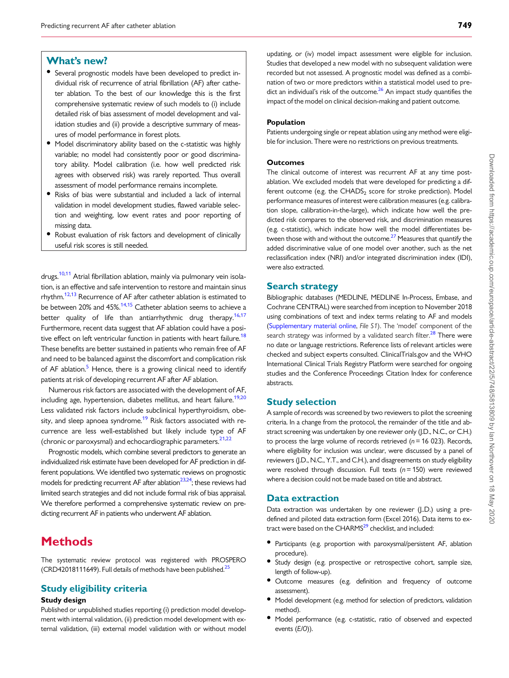- <span id="page-2-0"></span>• Several prognostic models have been developed to predict individual risk of recurrence of atrial fibrillation (AF) after catheter ablation. To the best of our knowledge this is the first comprehensive systematic review of such models to (i) include detailed risk of bias assessment of model development and validation studies and (ii) provide a descriptive summary of measures of model performance in forest plots.
- Model discriminatory ability based on the c-statistic was highly variable; no model had consistently poor or good discriminatory ability. Model calibration (i.e. how well predicted risk agrees with observed risk) was rarely reported. Thus overall assessment of model performance remains incomplete.
- Risks of bias were substantial and included a lack of internal validation in model development studies, flawed variable selection and weighting, low event rates and poor reporting of missing data.
- Robust evaluation of risk factors and development of clinically useful risk scores is still needed.

drugs.<sup>[10](#page-12-0),[11](#page-12-0)</sup> Atrial fibrillation ablation, mainly via pulmonary vein isolation, is an effective and safe intervention to restore and maintain sinus rhythm.<sup>12,13</sup> Recurrence of AF after catheter ablation is estimated to be between 20% and 45%.<sup>14,15</sup> Catheter ablation seems to achieve a better quality of life than antiarrhythmic drug therapy.<sup>[16,17](#page-12-0)</sup> Furthermore, recent data suggest that AF ablation could have a positive effect on left ventricular function in patients with heart failure.<sup>18</sup> These benefits are better sustained in patients who remain free of AF and need to be balanced against the discomfort and complication risk of AF ablation.<sup>[5](#page-12-0)</sup> Hence, there is a growing clinical need to identify patients at risk of developing recurrent AF after AF ablation.

Numerous risk factors are associated with the development of AF, including age, hypertension, diabetes mellitus, and heart failure.<sup>[19,20](#page-12-0)</sup> Less validated risk factors include subclinical hyperthyroidism, obesity, and sleep apnoea syndrome.<sup>19</sup> Risk factors associated with recurrence are less well-established but likely include type of AF (chronic or paroxysmal) and echocardiographic parameters.<sup>[21,22](#page-12-0)</sup>

Prognostic models, which combine several predictors to generate an individualized risk estimate have been developed for AF prediction in different populations. We identified two systematic reviews on prognostic models for predicting recurrent AF after ablation $^{23,24}$ ; these reviews had limited search strategies and did not include formal risk of bias appraisal. We therefore performed a comprehensive systematic review on predicting recurrent AF in patients who underwent AF ablation.

# **Methods**

The systematic review protocol was registered with PROSPERO (CRD42018111649). Full details of methods have been published.<sup>[25](#page-12-0)</sup>

# Study eligibility criteria

#### Study design

Published or unpublished studies reporting (i) prediction model development with internal validation, (ii) prediction model development with external validation, (iii) external model validation with or without model

#### Population

Patients undergoing single or repeat ablation using any method were eligible for inclusion. There were no restrictions on previous treatments.

### **Outcomes**

The clinical outcome of interest was recurrent AF at any time postablation. We excluded models that were developed for predicting a different outcome (e.g. the CHADS<sub>2</sub> score for stroke prediction). Model performance measures of interest were calibration measures (e.g. calibration slope, calibration-in-the-large), which indicate how well the predicted risk compares to the observed risk, and discrimination measures (e.g. c-statistic), which indicate how well the model differentiates between those with and without the outcome.<sup>27</sup> Measures that quantify the added discriminative value of one model over another, such as the net reclassification index (NRI) and/or integrated discrimination index (IDI), were also extracted.

#### Search strategy

Bibliographic databases (MEDLINE, MEDLINE In-Process, Embase, and Cochrane CENTRAL) were searched from inception to November 2018 using combinations of text and index terms relating to AF and models [\(Supplementary material online,](https://academic.oup.com/europace/article-lookup/doi/10.1093/europace/euaa041#supplementary-data) File S1). The 'model' component of the search strategy was informed by a validated search filter.<sup>28</sup> There were no date or language restrictions. Reference lists of relevant articles were checked and subject experts consulted. ClinicalTrials.gov and the WHO International Clinical Trials Registry Platform were searched for ongoing studies and the Conference Proceedings Citation Index for conference abstracts.

#### Study selection

A sample of records was screened by two reviewers to pilot the screening criteria. In a change from the protocol, the remainder of the title and abstract screening was undertaken by one reviewer only (J.D., N.C., or C.H.) to process the large volume of records retrieved ( $n = 16$  023). Records, where eligibility for inclusion was unclear, were discussed by a panel of reviewers (J.D., N.C., Y.T., and C.H.), and disagreements on study eligibility were resolved through discussion. Full texts  $(n = 150)$  were reviewed where a decision could not be made based on title and abstract.

## Data extraction

Data extraction was undertaken by one reviewer (J..D.) using a predefined and piloted data extraction form (Excel 2016). Data items to extract were based on the CHARMS<sup>29</sup> checklist, and included:

- Participants (e.g. proportion with paroxysmal/persistent AF, ablation procedure).
- Study design (e.g. prospective or retrospective cohort, sample size, length of follow-up).
- Outcome measures (e.g. definition and frequency of outcome assessment).
- Model development (e.g. method for selection of predictors, validation method).
- Model performance (e.g. c-statistic, ratio of observed and expected events (E/O)).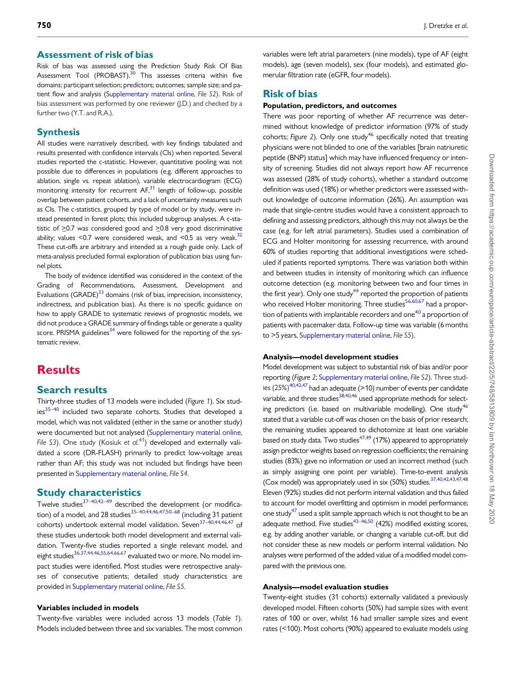#### <span id="page-3-0"></span>Assessment of risk of bias

Risk of bias was assessed using the Prediction Study Risk Of Bias Assessment Tool (PROBAST).<sup>30</sup> This assesses criteria within five domains: participant selection; predictors; outcomes; sample size; and patient flow and analysis [\(Supplementary material online](https://academic.oup.com/europace/article-lookup/doi/10.1093/europace/euaa041#supplementary-data), File S2). Risk of bias assessment was performed by one reviewer (J.D.) and checked by a further two (Y.T. and R.A.).

## **Synthesis**

All studies were narratively described, with key findings tabulated and results presented with confidence intervals (CIs) when reported. Several studies reported the c-statistic. However, quantitative pooling was not possible due to differences in populations (e.g. different approaches to ablation, single vs. repeat ablation), variable electrocardiogram (ECG) monitoring intensity for recurrent  $AF<sub>31</sub><sup>31</sup>$  length of follow-up, possible overlap between patient cohorts, and a lack of uncertainty measures such as CIs. The c-statistics, grouped by type of model or by study, were instead presented in forest plots; this included subgroup analyses. A c-statistic of  $>0.7$  was considered good and  $>0.8$  very good discriminative ability; values  $\leq$  0.7 were considered weak, and  $\leq$  0.5 as very weak.<sup>32</sup> These cut-offs are arbitrary and intended as a rough guide only. Lack of meta-analysis precluded formal exploration of publication bias using funnel plots.

The body of evidence identified was considered in the context of the Grading of Recommendations, Assessment, Development and Evaluations (GRADE) $^{33}$  domains (risk of bias, imprecision, inconsistency, indirectness, and publication bias). As there is no specific guidance on how to apply GRADE to systematic reviews of prognostic models, we did not produce a GRADE summary of findings table or generate a quality score. PRISMA guidelines $34$  were followed for the reporting of the systematic review.

# **Results**

# Search results

Thirty-three studies of 13 models were included (Figure [1](#page-4-0)). Six stud- $ies<sup>35–40</sup>$  $ies<sup>35–40</sup>$  $ies<sup>35–40</sup>$  included two separate cohorts. Studies that developed a model, which was not validated (either in the same or another study) were documented but not analysed ([Supplementary material online,](https://academic.oup.com/europace/article-lookup/doi/10.1093/europace/euaa041#supplementary-data) File S3). One study (Kosiuk et  $al.^{41}$  $al.^{41}$  $al.^{41}$ ) developed and externally validated a score (DR-FLASH) primarily to predict low-voltage areas rather than AF; this study was not included but findings have been presented in [Supplementary material online,](https://academic.oup.com/europace/article-lookup/doi/10.1093/europace/euaa041#supplementary-data) File S4.

## Study characteristics

Twelve studies<sup>[37](#page-12-0)–[40,42](#page-12-0)[–49](#page-13-0)</sup> described the development (or modification) of a model, and 28 studies $35-40,44,46,47,50-68$  $35-40,44,46,47,50-68$  $35-40,44,46,47,50-68$  (including 31 patient cohorts) undertook external model validation. Seven<sup>37-40,44,46,47</sup> of these studies undertook both model development and external validation. Twenty-five studies reported a single relevant model, and eight studies<sup>[36,37,44,46,](#page-12-0)[55](#page-13-0),[64,66,67](#page-13-0)</sup> evaluated two or more. No model impact studies were identified. Most studies were retrospective analyses of consecutive patients; detailed study characteristics are provided in [Supplementary material online,](https://academic.oup.com/europace/article-lookup/doi/10.1093/europace/euaa041#supplementary-data) File S5.

#### Variables included in models

Twenty-five variables were included across 13 models (Table [1](#page-5-0)). Models included between three and six variables. The most common

variables were left atrial parameters (nine models), type of AF (eight models), age (seven models), sex (four models), and estimated glomerular filtration rate (eGFR, four models).

# Risk of bias

#### Population, predictors, and outcomes

There was poor reporting of whether AF recurrence was determined without knowledge of predictor information (97% of study cohorts; Figure [2](#page-7-0)). Only one study<sup>[46](#page-12-0)</sup> specifically noted that treating physicians were not blinded to one of the variables [brain natriuretic peptide (BNP) status] which may have influenced frequency or intensity of screening. Studies did not always report how AF recurrence was assessed (28% of study cohorts), whether a standard outcome definition was used (18%) or whether predictors were assessed without knowledge of outcome information (26%). An assumption was made that single-centre studies would have a consistent approach to defining and assessing predictors, although this may not always be the case (e.g. for left atrial parameters). Studies used a combination of ECG and Holter monitoring for assessing recurrence, with around 60% of studies reporting that additional investigations were scheduled if patients reported symptoms. There was variation both within and between studies in intensity of monitoring which can influence outcome detection (e.g. monitoring between two and four times in the first year). Only one study $44$  reported the proportion of patients who received Holter monitoring. Three studies<sup>56,60,67</sup> had a propor-tion of patients with implantable recorders and one<sup>[40](#page-12-0)</sup> a proportion of patients with pacemaker data. Follow-up time was variable (6 months to >5 years, [Supplementary material online,](https://academic.oup.com/europace/article-lookup/doi/10.1093/europace/euaa041#supplementary-data) File S5).

#### Analysis—model development studies

Model development was subject to substantial risk of bias and/or poor reporting (Figure [2](#page-7-0); [Supplementary material online](https://academic.oup.com/europace/article-lookup/doi/10.1093/europace/euaa041#supplementary-data), File S2). Three stud-ies (25%)<sup>[40,42,47](#page-12-0)</sup> had an adequate (>10) number of events per candidate variable, and three studies $38,40,46$  used appropriate methods for selecting predictors (i.e. based on multivariable modelling). One study  $46$ stated that a variable cut-off was chosen on the basis of prior research; the remaining studies appeared to dichotomize at least one variable based on study data. Two studies $47,49$  $47,49$  (17%) appeared to appropriately assign predictor weights based on regression coefficients; the remaining studies (83%) gave no information or used an incorrect method (such as simply assigning one point per variable). Time-to-event analysis (Cox model) was appropriately used in six (50%) studies.  $37,40,42,43,47,48$  $37,40,42,43,47,48$ Eleven (92%) studies did not perform internal validation and thus failed to account for model overfitting and optimism in model performance; one study $47$  used a split sample approach which is not thought to be an adequate method. Five studies $43-46,50$  $43-46,50$  (42%) modified existing scores, e.g. by adding another variable, or changing a variable cut-off, but did not consider these as new models or perform internal validation. No analyses were performed of the added value of a modified model compared with the previous one.

#### Analysis—model evaluation studies

Twenty-eight studies (31 cohorts) externally validated a previously developed model. Fifteen cohorts (50%) had sample sizes with event rates of 100 or over, whilst 16 had smaller sample sizes and event rates (<100). Most cohorts (90%) appeared to evaluate models using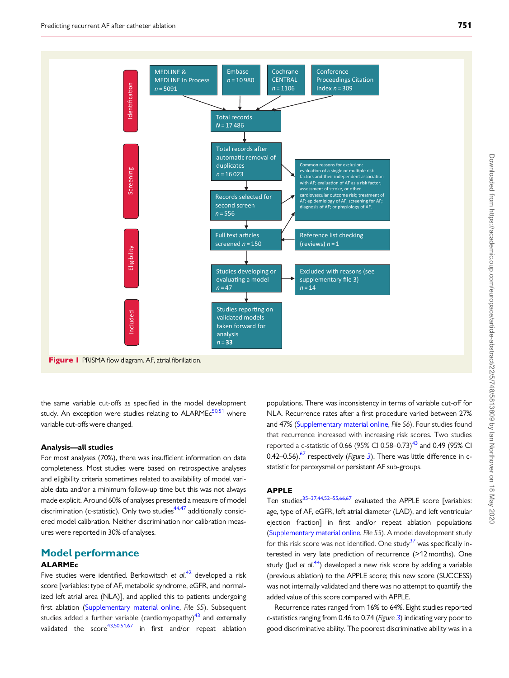<span id="page-4-0"></span>

the same variable cut-offs as specified in the model development study. An exception were studies relating to  $ALARMEc<sup>50,51</sup>$  where variable cut-offs were changed.

#### Analysis—all studies

For most analyses (70%), there was insufficient information on data completeness. Most studies were based on retrospective analyses and eligibility criteria sometimes related to availability of model variable data and/or a minimum follow-up time but this was not always made explicit. Around 60% of analyses presented a measure of model discrimination (c-statistic). Only two studies<sup>44,47</sup> additionally considered model calibration. Neither discrimination nor calibration measures were reported in 30% of analyses.

#### Model performance ALARMEc

Five studies were identified. Berkowitsch et  $al^{42}$  $al^{42}$  $al^{42}$  developed a risk score [variables: type of AF, metabolic syndrome, eGFR, and normalized left atrial area (NLA)], and applied this to patients undergoing first ablation ([Supplementary material online,](https://academic.oup.com/europace/article-lookup/doi/10.1093/europace/euaa041#supplementary-data) File S5). Subsequent studies added a further variable (cardiomyopathy) $43$  and externally validated the  $score^{43,50,51,67}$  $score^{43,50,51,67}$  $score^{43,50,51,67}$  $score^{43,50,51,67}$  in first and/or repeat ablation

populations. There was inconsistency in terms of variable cut-off for NLA. Recurrence rates after a first procedure varied between 27% and 47% [\(Supplementary material online](https://academic.oup.com/europace/article-lookup/doi/10.1093/europace/euaa041#supplementary-data), File S6). Four studies found that recurrence increased with increasing risk scores. Two studies reported a c-statistic of 0.66 (95% CI 0.58–0.73)<sup>43</sup> and 0.49 (95% CI 0.42–0.56), $^{67}$  respectively (Figure [3](#page-8-0)). There was little difference in cstatistic for paroxysmal or persistent AF sub-groups.

#### APPLE

Ten studies<sup>35–37,[44](#page-12-0)[,52–55,66,67](#page-13-0)</sup> evaluated the APPLE score [variables: age, type of AF, eGFR, left atrial diameter (LAD), and left ventricular ejection fraction] in first and/or repeat ablation populations [\(Supplementary material online,](https://academic.oup.com/europace/article-lookup/doi/10.1093/europace/euaa041#supplementary-data) File S5). A model development study for this risk score was not identified. One study $37$  was specifically interested in very late prediction of recurrence (>12 months). One study (Jud et al.<sup>[44](#page-12-0)</sup>) developed a new risk score by adding a variable (previous ablation) to the APPLE score; this new score (SUCCESS) was not internally validated and there was no attempt to quantify the added value of this score compared with APPLE.

Recurrence rates ranged from 16% to 64%. Eight studies reported c-statistics ranging from 0.46 to 0.74 (Figure [3](#page-8-0)) indicating very poor to good discriminative ability. The poorest discriminative ability was in a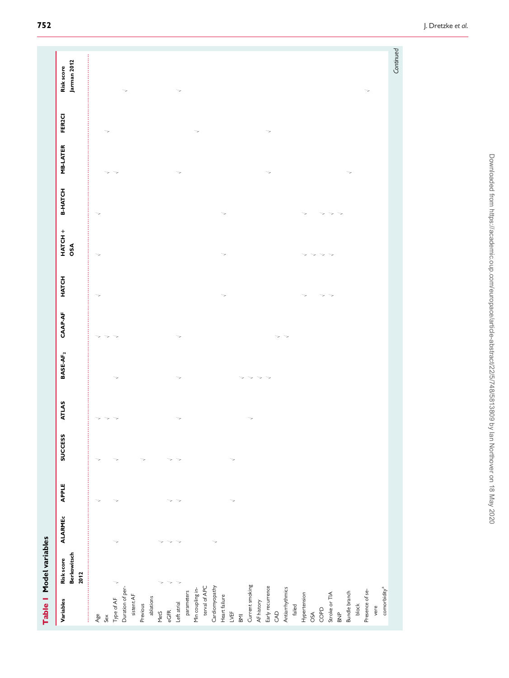

<span id="page-5-0"></span>

| Variables                | <b>Berkowitsch</b><br>Risk score<br>2012 | <b>ALARMEC</b> | APPLE | <b>SUCCESS</b> | <b>ATLAS</b> | BASE-AF <sub>2</sub> | CAAP-AF | HATCH | HATCH +<br>OSA | <b>B-HATCH</b> | <b>MB-LATER</b> | FER2CI | Jarman 2012<br>Risk score |
|--------------------------|------------------------------------------|----------------|-------|----------------|--------------|----------------------|---------|-------|----------------|----------------|-----------------|--------|---------------------------|
| Age<br>$rac{8}{2}$       |                                          |                |       |                |              |                      |         |       |                |                |                 |        |                           |
| Type of AF               |                                          |                |       |                |              |                      |         |       |                |                |                 |        |                           |
| Duration of per-         |                                          |                |       |                |              |                      |         |       |                |                |                 |        |                           |
| sistent AF               |                                          |                |       |                |              |                      |         |       |                |                |                 |        |                           |
| Previous                 |                                          |                |       |                |              |                      |         |       |                |                |                 |        |                           |
| ablations                |                                          |                |       |                |              |                      |         |       |                |                |                 |        |                           |
| MetS                     |                                          |                |       |                |              |                      |         |       |                |                |                 |        |                           |
| eGR                      |                                          |                |       |                |              |                      |         |       |                |                |                 |        |                           |
| -eft atrial              |                                          |                |       |                |              |                      |         |       |                |                |                 |        |                           |
| parameters               |                                          |                |       |                |              |                      |         |       |                |                |                 |        |                           |
| 1in coupling in-         |                                          |                |       |                |              |                      |         |       |                |                |                 |        |                           |
| terval of APC            |                                          |                |       |                |              |                      |         |       |                |                |                 |        |                           |
| Cardiomyopathy           |                                          |                |       |                |              |                      |         |       |                |                |                 |        |                           |
| Heart failure            |                                          |                |       |                |              |                      |         |       |                |                |                 |        |                           |
| УËF                      |                                          |                |       |                |              |                      |         |       |                |                |                 |        |                           |
| $\overline{B}$           |                                          |                |       |                |              |                      |         |       |                |                |                 |        |                           |
| Current smoking          |                                          |                |       |                |              |                      |         |       |                |                |                 |        |                           |
| AF history               |                                          |                |       |                |              |                      |         |       |                |                |                 |        |                           |
| Early recurrence         |                                          |                |       |                |              |                      |         |       |                |                |                 |        |                           |
| CAD                      |                                          |                |       |                |              |                      |         |       |                |                |                 |        |                           |
| Antiarrhythmics          |                                          |                |       |                |              |                      |         |       |                |                |                 |        |                           |
| failed                   |                                          |                |       |                |              |                      |         |       |                |                |                 |        |                           |
| <b>Hypertension</b>      |                                          |                |       |                |              |                      |         |       |                |                |                 |        |                           |
| OSA                      |                                          |                |       |                |              |                      |         |       |                |                |                 |        |                           |
| COPD                     |                                          |                |       |                |              |                      |         |       |                |                |                 |        |                           |
|                          |                                          |                |       |                |              |                      |         |       |                |                |                 |        |                           |
| Stroke or TIA<br>BNP     |                                          |                |       |                |              |                      |         |       |                |                |                 |        |                           |
| Bundle branch            |                                          |                |       |                |              |                      |         |       |                |                |                 |        |                           |
| block                    |                                          |                |       |                |              |                      |         |       |                |                |                 |        |                           |
| Presence of se-          |                                          |                |       |                |              |                      |         |       |                |                |                 |        |                           |
| vere                     |                                          |                |       |                |              |                      |         |       |                |                |                 |        |                           |
| comorbidity <sup>a</sup> |                                          |                |       |                |              |                      |         |       |                |                |                 |        |                           |
|                          |                                          |                |       |                |              |                      |         |       |                |                |                 |        | Continued                 |

.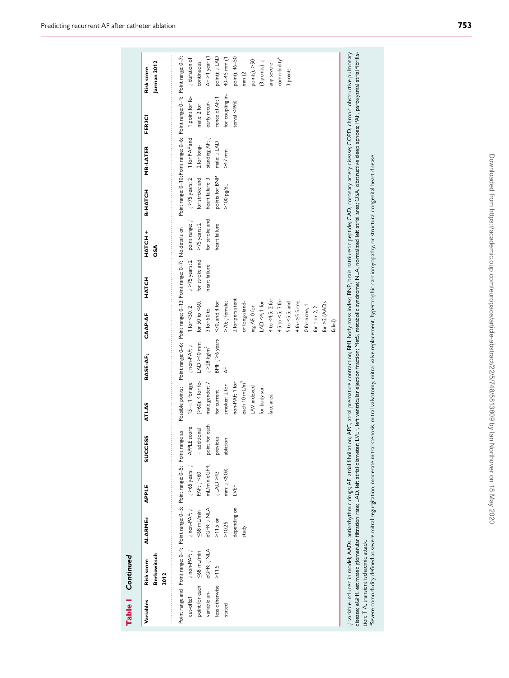| Predicting recurrent AF after catheter ablation |                                             | 753                    |
|-------------------------------------------------|---------------------------------------------|------------------------|
|                                                 | S.<br>$\circ$<br>$\sim$<br>L<br>$\sim$<br>薀 | ਨੋ<br>ದ<br>₽<br>ā<br>≂ |

Table 1 Continued

Table I Continued

| <b>Berkowitsch</b><br>Risk score<br>2012<br>Variables |                         | <b>ALARMEc</b>                                 | APPLE                                                                                | <b>SUCCESS</b>                         | <b>ATLAS</b>                                                                          | BASE-AF,                                              | CAAP-AF                                | HOLT           | + HOLAT<br><b>OSA</b>                         | <b>B-HATCH</b>                                                                                                                                                                                                                                                                                                                                                                                                                                                                                                                                                                                                                                                                                                                                                                                                                         | <b>MB-LATER</b>        | FER <sub>2</sub> CI | Jarman 2012<br>Risk score |
|-------------------------------------------------------|-------------------------|------------------------------------------------|--------------------------------------------------------------------------------------|----------------------------------------|---------------------------------------------------------------------------------------|-------------------------------------------------------|----------------------------------------|----------------|-----------------------------------------------|----------------------------------------------------------------------------------------------------------------------------------------------------------------------------------------------------------------------------------------------------------------------------------------------------------------------------------------------------------------------------------------------------------------------------------------------------------------------------------------------------------------------------------------------------------------------------------------------------------------------------------------------------------------------------------------------------------------------------------------------------------------------------------------------------------------------------------------|------------------------|---------------------|---------------------------|
|                                                       |                         |                                                | Point range and Point range: 0-4; Point range: 0-5; Point range: 0-5; Point range as |                                        | Possible points: Point range: 0-6; Point range: 0-13; Point range: 0-7; No details on |                                                       |                                        |                |                                               | $\label{prop:main} The two noncommutant is the noncommutant is the noncommutant is the noncommutant is the noncommutant is the noncommutant is the noncommutant is the noncommutant is the noncommutant is the noncommutant is the noncommutant is the noncommutant is the noncommutant is the noncommutant is the noncommutant is the noncommutant is the noncommutant is the noncommutant is the noncommutant is the noncommutant is the noncommutant is the noncommutant is the noncommutant is the noncommutant is the noncommutant is the noncommutant is the noncommutant is the noncommutant is the noncommutant is the noncommutant is the noncommutant is the noncommutant is the noncommutant is the noncommutant is the noncommutant is the non$<br>Point range: 0-10; Point range: 0-6; Point range: 0-4; Point range: 0-7 |                        |                     |                           |
| cut-offs;1                                            | $\sqrt{non-PAF}, \sqrt$ | $\sqrt{\text{non-PAF}}$ ; $\sqrt{\frac{1}{2}}$ |                                                                                      | $\sqrt{5}$ years; $\sqrt{$ APPLE score |                                                                                       | 15+; 1 for age $\sqrt{\text{non-PAF}}$ , 1 for <50, 2 |                                        |                | $\sqrt{>75}$ years; 2 point range; $\sqrt{ }$ | $\sqrt{5}$ years; 2 1 for PAF and 1 point for fe- $\sqrt{4}$ duration of                                                                                                                                                                                                                                                                                                                                                                                                                                                                                                                                                                                                                                                                                                                                                               |                        |                     |                           |
| point for each <a></a> 68 mL/min                      |                         | $568$ mL/min                                   | $PAF$ ; $\sqrt{60}$                                                                  | + additional                           |                                                                                       | $(>60); 4$ for fe LAD $>40$ mm;                       | for 50 to $< 60$ ,                     | for stroke and | $>75$ years; 2                                | for stroke and 2 for long-                                                                                                                                                                                                                                                                                                                                                                                                                                                                                                                                                                                                                                                                                                                                                                                                             |                        | male; 2 for         | continuous                |
| variable un-                                          | $e$ GFR; $\sqrt{NLA}$   | eGFR; / NLA                                    | mL/min eGFR;                                                                         | point for each                         | male gender; 7                                                                        | √ >28 kg/m <sup>2</sup>                               | $3$ for 60 to                          | heart failure  | for stroke and                                | heart failure; 3                                                                                                                                                                                                                                                                                                                                                                                                                                                                                                                                                                                                                                                                                                                                                                                                                       | standing AF; $\sqrt{}$ | early recur-        | AF >1 year (1             |
| >11.5<br>less otherwise                               |                         | $>11.5$ or                                     | $\angle$ LAD $\geq$ 43                                                               | previous                               | for current                                                                           | BMI: $\sqrt{>6}$ years                                | $<$ 70, and 4 for                      |                | heart failure                                 | points for BNP                                                                                                                                                                                                                                                                                                                                                                                                                                                                                                                                                                                                                                                                                                                                                                                                                         | male; / LAD            | rence of AF; 1      | point); / LAD             |
| stated                                                |                         | >10.25                                         | mm; $\sqrt{50\%}$                                                                    | ablation                               | smoker; 2 for                                                                         | $\overline{4}$                                        | $\geq$ 70; $\sqrt{\ }$ female;         |                |                                               | $\geq$ 100 pg/dL                                                                                                                                                                                                                                                                                                                                                                                                                                                                                                                                                                                                                                                                                                                                                                                                                       | $\geq 47$ mm           | for coupling in-    | $40 - 45$ mm (1           |
|                                                       |                         | depending on                                   | LVEF                                                                                 |                                        | non-PAF; 1 for                                                                        |                                                       | 2 for persistent                       |                |                                               |                                                                                                                                                                                                                                                                                                                                                                                                                                                                                                                                                                                                                                                                                                                                                                                                                                        |                        | terval <49%         | point), 46-50             |
|                                                       |                         | study                                          |                                                                                      |                                        | each 10 mL/m <sup>2</sup>                                                             |                                                       | or long-stand-                         |                |                                               |                                                                                                                                                                                                                                                                                                                                                                                                                                                                                                                                                                                                                                                                                                                                                                                                                                        |                        |                     | mm(2)                     |
|                                                       |                         |                                                |                                                                                      |                                        | LAV indexed                                                                           |                                                       | ing AF; 0 for                          |                |                                               |                                                                                                                                                                                                                                                                                                                                                                                                                                                                                                                                                                                                                                                                                                                                                                                                                                        |                        |                     | points), >50              |
|                                                       |                         |                                                |                                                                                      |                                        | for body sur-                                                                         |                                                       | LAD <4; 1 for                          |                |                                               |                                                                                                                                                                                                                                                                                                                                                                                                                                                                                                                                                                                                                                                                                                                                                                                                                                        |                        |                     | $(3$ points); $\sqrt{ }$  |
|                                                       |                         |                                                |                                                                                      |                                        | face area                                                                             |                                                       | 4 to $<$ 4.5; 2 for                    |                |                                               |                                                                                                                                                                                                                                                                                                                                                                                                                                                                                                                                                                                                                                                                                                                                                                                                                                        |                        |                     | any severe                |
|                                                       |                         |                                                |                                                                                      |                                        |                                                                                       |                                                       | 4.5 to $\leq$ 5; 3 for                 |                |                                               |                                                                                                                                                                                                                                                                                                                                                                                                                                                                                                                                                                                                                                                                                                                                                                                                                                        |                        |                     | comorbidity <sup>a</sup>  |
|                                                       |                         |                                                |                                                                                      |                                        |                                                                                       |                                                       | $5$ to $\leq$ 5.5; and                 |                |                                               |                                                                                                                                                                                                                                                                                                                                                                                                                                                                                                                                                                                                                                                                                                                                                                                                                                        |                        |                     | 3 points                  |
|                                                       |                         |                                                |                                                                                      |                                        |                                                                                       |                                                       | 4 for $\geq$ 5.5 cm;                   |                |                                               |                                                                                                                                                                                                                                                                                                                                                                                                                                                                                                                                                                                                                                                                                                                                                                                                                                        |                        |                     |                           |
|                                                       |                         |                                                |                                                                                      |                                        |                                                                                       |                                                       | 0 for none, 1                          |                |                                               |                                                                                                                                                                                                                                                                                                                                                                                                                                                                                                                                                                                                                                                                                                                                                                                                                                        |                        |                     |                           |
|                                                       |                         |                                                |                                                                                      |                                        |                                                                                       |                                                       | for 1 or 2, $2$                        |                |                                               |                                                                                                                                                                                                                                                                                                                                                                                                                                                                                                                                                                                                                                                                                                                                                                                                                                        |                        |                     |                           |
|                                                       |                         |                                                |                                                                                      |                                        |                                                                                       |                                                       | for $>2$ ( $\triangle$ AD <sub>s</sub> |                |                                               |                                                                                                                                                                                                                                                                                                                                                                                                                                                                                                                                                                                                                                                                                                                                                                                                                                        |                        |                     |                           |
|                                                       |                         |                                                |                                                                                      |                                        |                                                                                       |                                                       | failed)                                |                |                                               |                                                                                                                                                                                                                                                                                                                                                                                                                                                                                                                                                                                                                                                                                                                                                                                                                                        |                        |                     |                           |

, variable included in model; AADs, antiarrhythmic drugs; AF, atrial fibrillation; APC, atrial premature contraction; BMI, body mass index; BNP, brain natriuretic peptide; CAD, coronary artery disease; COPD, chronic obstru variable included in model; AADs, antiarrhythmic drugs; AF, atrial fibrillation; APC, atrial premature contraction; BMI, body mass index; BNP, brain natriuretic peptide; CAD, coronary artery disease; COPD, chronic obstruct disease; eGFR, estimated glomerular filtration rate; LAD, left arial diameter; LYEF, left ventricular ejection fraction; MetS, metabolic syndrome; NLA, normalized left atrial area; OSA, obstructive sleep apnoea; PAF, parox tion; TIA, transient ischaemic attack.

Severe comorbidity defined as severe mitral regurgitation, moderate mitral stenosis, mitral valve replacement, hypertrophic cardiomyopathy, or structural congenital heart disease.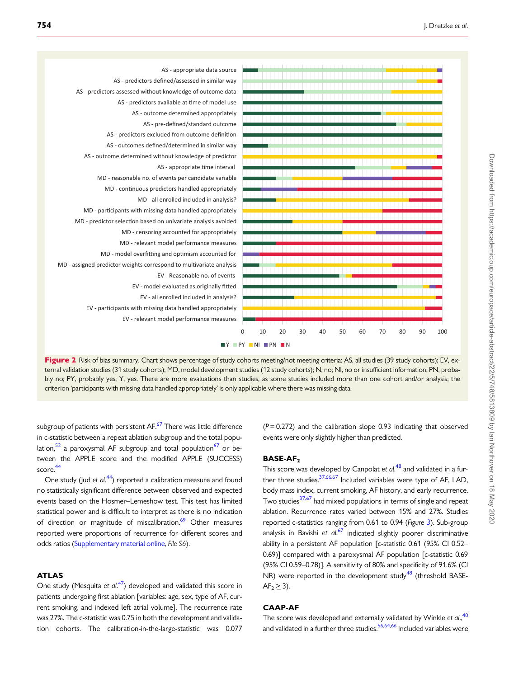<span id="page-7-0"></span>

Figure 2 Risk of bias summary. Chart shows percentage of study cohorts meeting/not meeting criteria: AS, all studies (39 study cohorts); EV, external validation studies (31 study cohorts); MD, model development studies (12 study cohorts); N, no; NI, no or insufficient information; PN, probably no; PY, probably yes; Y, yes. There are more evaluations than studies, as some studies included more than one cohort and/or analysis; the criterion 'participants with missing data handled appropriately' is only applicable where there was missing data.

subgroup of patients with persistent AF.<sup>67</sup> There was little difference in c-statistic between a repeat ablation subgroup and the total population, $52$  a paroxysmal AF subgroup and total population<sup>67</sup> or between the APPLE score and the modified APPLE (SUCCESS) score.<sup>[44](#page-12-0)</sup>

One study (Jud et al.<sup>[44](#page-12-0)</sup>) reported a calibration measure and found no statistically significant difference between observed and expected events based on the Hosmer–Lemeshow test. This test has limited statistical power and is difficult to interpret as there is no indication of direction or magnitude of miscalibration.<sup>[69](#page-13-0)</sup> Other measures reported were proportions of recurrence for different scores and odds ratios [\(Supplementary material online](https://academic.oup.com/europace/article-lookup/doi/10.1093/europace/euaa041#supplementary-data), File S6).

## ATLAS

One study (Mesquita et al.<sup>47</sup>) developed and validated this score in patients undergoing first ablation [variables: age, sex, type of AF, current smoking, and indexed left atrial volume]. The recurrence rate was 27%. The c-statistic was 0.75 in both the development and validation cohorts. The calibration-in-the-large-statistic was 0.077  $(P = 0.272)$  and the calibration slope 0.93 indicating that observed events were only slightly higher than predicted.

## BASE-AF<sub>2</sub>

This score was developed by Canpolat et al.<sup>[48](#page-13-0)</sup> and validated in a fur-ther three studies.<sup>37[,66,67](#page-13-0)</sup> Included variables were type of AF, LAD, body mass index, current smoking, AF history, and early recurrence. Two studies<sup>[37](#page-12-0)[,67](#page-13-0)</sup> had mixed populations in terms of single and repeat ablation. Recurrence rates varied between 15% and 27%. Studies reported c-statistics ranging from 0.61 to 0.94 (Figure [3](#page-8-0)). Sub-group analysis in Bavishi et al.<sup>[67](#page-13-0)</sup> indicated slightly poorer discriminative ability in a persistent AF population [c-statistic 0.61 (95% CI 0.52– 0.69)] compared with a paroxysmal AF population [c-statistic 0.69 (95% CI 0.59–0.78)]. A sensitivity of 80% and specificity of 91.6% (CI NR) were reported in the development study $48$  (threshold BASE- $AF_2 \geq 3$ ).

# CAAP-AF

The score was developed and externally validated by Winkle et al.,<sup>[40](#page-12-0)</sup> and validated in a further three studies.<sup>56,64,[66](#page-13-0)</sup> Included variables were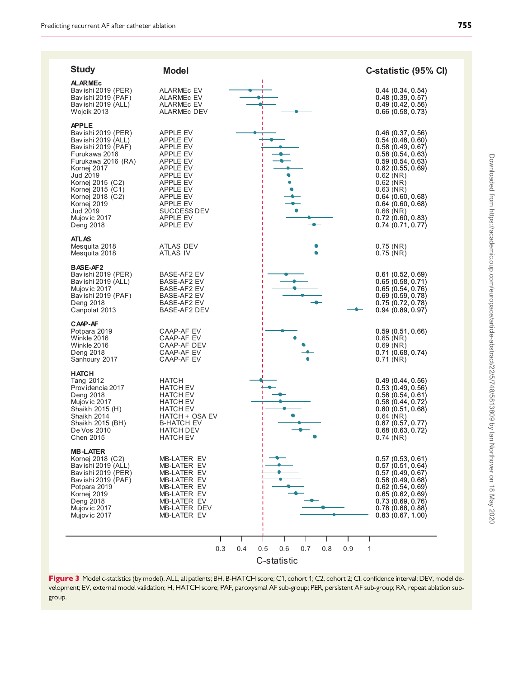<span id="page-8-0"></span>

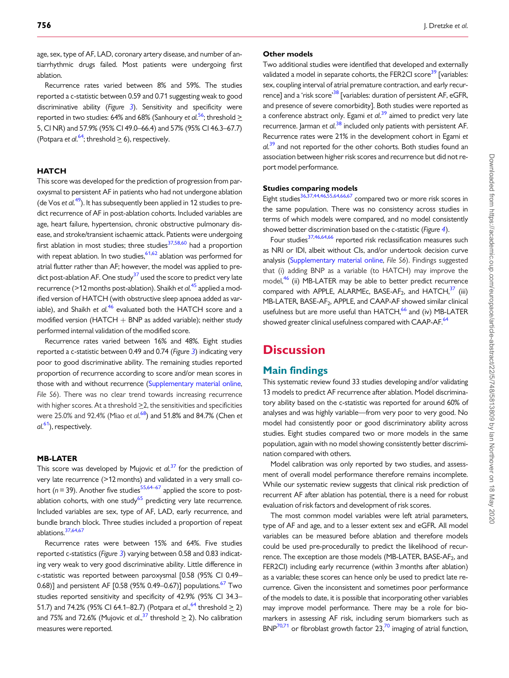<span id="page-9-0"></span>Recurrence rates varied between 8% and 59%. The studies reported a c-statistic between 0.59 and 0.71 suggesting weak to good discriminative ability (Figure [3](#page-8-0)). Sensitivity and specificity were reported in two studies: 64% and 68% (Sanhoury et  $al.^{56}$  $al.^{56}$  $al.^{56}$ ; threshold  $\geq$ 5, CI NR) and 57.9% (95% CI 49.0–66.4) and 57% (95% CI 46.3–67.7) (Potpara et al.<sup>64</sup>; threshold  $\geq$  6), respectively.

#### **HATCH**

This score was developed for the prediction of progression from paroxysmal to persistent AF in patients who had not undergone ablation (de Vos et al.<sup>[49](#page-13-0)</sup>). It has subsequently been applied in 12 studies to predict recurrence of AF in post-ablation cohorts. Included variables are age, heart failure, hypertension, chronic obstructive pulmonary disease, and stroke/transient ischaemic attack. Patients were undergoing first ablation in most studies; three studies<sup>37[,58,60](#page-13-0)</sup> had a proportion with repeat ablation. In two studies,  $61,62$  $61,62$  ablation was performed for atrial flutter rather than AF; however, the model was applied to predict post-ablation AF. One study $37$  used the score to predict very late recurrence (>12 months post-ablation). Shaikh e*t al*.<sup>[45](#page-12-0)</sup> applied a modified version of HATCH (with obstructive sleep apnoea added as var-iable), and Shaikh et al.<sup>[46](#page-12-0)</sup> evaluated both the HATCH score and a modified version (HATCH  $+$  BNP as added variable); neither study performed internal validation of the modified score.

Recurrence rates varied between 16% and 48%. Eight studies reported a c-statistic between 0.49 and 0.74 (Figure [3](#page-8-0)) indicating very poor to good discriminative ability. The remaining studies reported proportion of recurrence according to score and/or mean scores in those with and without recurrence ([Supplementary material online,](https://academic.oup.com/europace/article-lookup/doi/10.1093/europace/euaa041#supplementary-data) File S6). There was no clear trend towards increasing recurrence with higher scores. At a threshold  $\geq$ 2, the sensitivities and specificities were 25.0% and 92.4% (Miao et *a*l.<sup>68</sup>) and 51.8% and 84.7% (Chen et al.<sup>[61](#page-13-0)</sup>), respectively.

#### MB-LATER

This score was developed by Mujovic et al.<sup>[37](#page-12-0)</sup> for the prediction of very late recurrence (>12 months) and validated in a very small cohort ( $n = 39$ ). Another five studies<sup>55,64–67</sup> applied the score to postablation cohorts, with one study $65$  predicting very late recurrence. Included variables are sex, type of AF, LAD, early recurrence, and bundle branch block. Three studies included a proportion of repeat ablations.<sup>37,[64](#page-13-0),[67](#page-13-0)</sup>

Recurrence rates were between 15% and 64%. Five studies reported c-statistics (Figure [3](#page-8-0)) varying between 0.58 and 0.83 indicating very weak to very good discriminative ability. Little difference in c-statistic was reported between paroxysmal [0.58 (95% CI 0.49– 0.68)] and persistent AF [0.58 (95% 0.49-0.[67](#page-13-0))] populations.<sup>67</sup> Two studies reported sensitivity and specificity of 42.9% (95% CI 34.3– 51.7) and 74.2% (95% CI [64](#page-13-0).1–82.7) (Potpara et  $al.^{64}$  threshold  $\geq$  2) and 75% and 72.6% (Mujovic et  $al.$ <sup>[37](#page-12-0)</sup> threshold  $\geq$  2). No calibration measures were reported.

#### Other models

Two additional studies were identified that developed and externally validated a model in separate cohorts, the FER2CI score<sup>39</sup> [variables: sex, coupling interval of atrial premature contraction, and early recurrence] and a 'risk score<sup>38</sup> [variables: duration of persistent AF, eGFR, and presence of severe comorbidity]. Both studies were reported as a conference abstract only. Egami et al.<sup>[39](#page-12-0)</sup> aimed to predict very late recurrence. Jarman et al.<sup>[38](#page-12-0)</sup> included only patients with persistent AF. Recurrence rates were 21% in the development cohort in Egami et al.<sup>[39](#page-12-0)</sup> and not reported for the other cohorts. Both studies found an association between higher risk scores and recurrence but did not report model performance.

## Studies comparing models

Eight studies<sup>36,37,44,46,[55,64,66,67](#page-13-0)</sup> compared two or more risk scores in the same population. There was no consistency across studies in terms of which models were compared, and no model consistently showed better discrimination based on the c-statistic (Figure [4](#page-10-0)).

Four studies<sup>37,46,[64](#page-13-0),[66](#page-13-0)</sup> reported risk reclassification measures such as NRI or IDI, albeit without CIs, and/or undertook decision curve analysis ([Supplementary material online](https://academic.oup.com/europace/article-lookup/doi/10.1093/europace/euaa041#supplementary-data), File S6). Findings suggested that (i) adding BNP as a variable (to HATCH) may improve the model,<sup>[46](#page-12-0)</sup> (ii) MB-LATER may be able to better predict recurrence compared with APPLE, ALARMEc, BASE-AF<sub>2</sub>, and HATCH, $37$  (iii) MB-LATER, BASE-AF<sub>2</sub>, APPLE, and CAAP-AF showed similar clinical usefulness but are more useful than  $HATCH<sub>1</sub><sup>66</sup>$  and (iv) MB-LATER showed greater clinical usefulness compared with CAAP-AF.<sup>64</sup>

# **Discussion**

# Main findings

This systematic review found 33 studies developing and/or validating 13 models to predict AF recurrence after ablation. Model discriminatory ability based on the c-statistic was reported for around 60% of analyses and was highly variable—from very poor to very good. No model had consistently poor or good discriminatory ability across studies. Eight studies compared two or more models in the same population, again with no model showing consistently better discrimination compared with others.

Model calibration was only reported by two studies, and assessment of overall model performance therefore remains incomplete. While our systematic review suggests that clinical risk prediction of recurrent AF after ablation has potential, there is a need for robust evaluation of risk factors and development of risk scores.

The most common model variables were left atrial parameters, type of AF and age, and to a lesser extent sex and eGFR. All model variables can be measured before ablation and therefore models could be used pre-procedurally to predict the likelihood of recurrence. The exception are those models (MB-LATER, BASE-AF<sub>2</sub>, and FER2CI) including early recurrence (within 3 months after ablation) as a variable; these scores can hence only be used to predict late recurrence. Given the inconsistent and sometimes poor performance of the models to date, it is possible that incorporating other variables may improve model performance. There may be a role for biomarkers in assessing AF risk, including serum biomarkers such as  $BNP^{70,71}$  $BNP^{70,71}$  $BNP^{70,71}$  or fibroblast growth factor 23,<sup>70</sup> imaging of atrial function,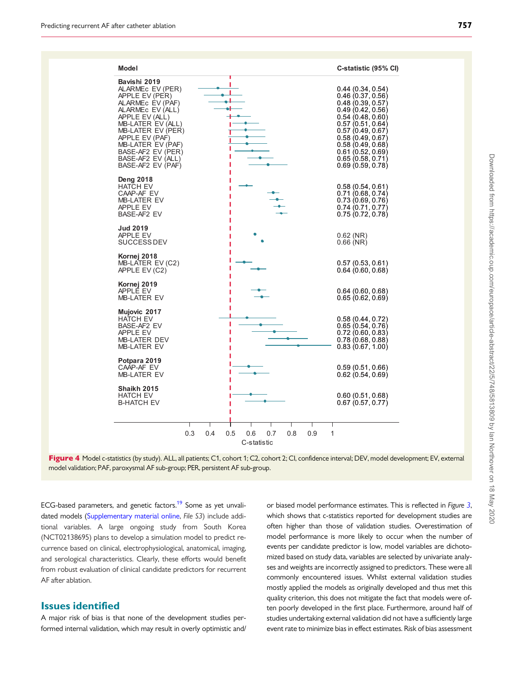<span id="page-10-0"></span>

| <b>Model</b>                                                                                                                                                                                                                                                        |                                                                            | C-statistic (95% CI)                                                                                                                                                                                                                         |
|---------------------------------------------------------------------------------------------------------------------------------------------------------------------------------------------------------------------------------------------------------------------|----------------------------------------------------------------------------|----------------------------------------------------------------------------------------------------------------------------------------------------------------------------------------------------------------------------------------------|
| Bavishi 2019<br>ALARMEC EV (PER)<br>APPLE EV (PER)<br>ALARMEC ÈV (PAF)<br>ALARMEC EV (ALL)<br>APPLE EV (ALL)<br>MB-LATER EV (ALL)<br>MB-LATER EV (PER)<br>APPLE EV (PAF)<br><b>MB-LATER EV (PAF)</b><br>BASE-AF2 EV (PER)<br>BASE-AF2 EV (ALL)<br>BASE-AF2 EV (PAF) | П<br>ı<br>ı                                                                | 0.44(0.34, 0.54)<br>0.46(0.37, 0.56)<br>0.48(0.39, 0.57)<br>0.49(0.42, 0.56)<br>0.54(0.48, 0.60)<br>0.57(0.51, 0.64)<br>0.57(0.49, 0.67)<br>0.58(0.49, 0.67)<br>0.58(0.49, 0.68)<br>0.61(0.52, 0.69)<br>0.65(0.58, 0.71)<br>0.69(0.59, 0.78) |
| <b>Deng 2018</b><br>HATCH EV<br>CAAP-AF EV<br><b>MB-LATER EV</b><br>APPLE EV<br>BASE-AF2 EV                                                                                                                                                                         |                                                                            | 0.58(0.54, 0.61)<br>0.71(0.68, 0.74)<br>0.73(0.69, 0.76)<br>0.74(0.71, 0.77)<br>0.75(0.72, 0.78)                                                                                                                                             |
| <b>Jud 2019</b><br><b>APPLE EV</b><br>SUCCESS DEV                                                                                                                                                                                                                   |                                                                            | $0.62$ (NR)<br>$0.66$ (NR)                                                                                                                                                                                                                   |
| Kornej 2018<br>MB-LATER EV (C2)<br>APPLE EV (C2)                                                                                                                                                                                                                    |                                                                            | 0.57(0.53, 0.61)<br>0.64(0.60, 0.68)                                                                                                                                                                                                         |
| Kornej 2019<br>APPLE EV<br>MB-LATER EV                                                                                                                                                                                                                              |                                                                            | 0.64(0.60, 0.68)<br>0.65(0.62, 0.69)                                                                                                                                                                                                         |
| Mujovic 2017<br><b>HATCH EV</b><br>BASE-AF2 EV<br>APPLE EV<br><b>MB-LATER DEV</b><br><b>MB-LATER EV</b>                                                                                                                                                             | П                                                                          | 0.58(0.44, 0.72)<br>0.65(0.54, 0.76)<br>0.72(0.60, 0.83)<br>0.78(0.68, 0.88)<br>0.83(0.67, 1.00)                                                                                                                                             |
| Potpara 2019<br>CAAP-AF EV<br><b>MB-LATER EV</b>                                                                                                                                                                                                                    | П                                                                          | 0.59(0.51, 0.66)<br>0.62(0.54, 0.69)                                                                                                                                                                                                         |
| Shaikh 2015<br>HATCH EV<br><b>B-HATCH EV</b>                                                                                                                                                                                                                        | ı                                                                          | 0.60(0.51, 0.68)<br>0.67(0.57, 0.77)                                                                                                                                                                                                         |
| L<br>0.3                                                                                                                                                                                                                                                            | $\mathbf{I}$<br>L<br>0.4<br>0.5<br>0.6<br>0.7<br>0.8<br>0.9<br>C-statistic | 1                                                                                                                                                                                                                                            |

Figure 4 Model c-statistics (by study). ALL, all patients; C1, cohort 1; C2, cohort 2; CI, confidence interval; DEV, model development; EV, external model validation; PAF, paroxysmal AF sub-group; PER, persistent AF sub-group.

ECG-based parameters, and genetic factors.<sup>[19](#page-12-0)</sup> Some as yet unvalidated models [\(Supplementary material online](https://academic.oup.com/europace/article-lookup/doi/10.1093/europace/euaa041#supplementary-data), File S3) include additional variables. A large ongoing study from South Korea (NCT02138695) plans to develop a simulation model to predict recurrence based on clinical, electrophysiological, anatomical, imaging, and serological characteristics. Clearly, these efforts would benefit from robust evaluation of clinical candidate predictors for recurrent AF after ablation.

# Issues identified

A major risk of bias is that none of the development studies performed internal validation, which may result in overly optimistic and/

or biased model performance estimates. This is reflected in Figure [3](#page-8-0), which shows that c-statistics reported for development studies are often higher than those of validation studies. Overestimation of model performance is more likely to occur when the number of events per candidate predictor is low, model variables are dichotomized based on study data, variables are selected by univariate analyses and weights are incorrectly assigned to predictors. These were all commonly encountered issues. Whilst external validation studies mostly applied the models as originally developed and thus met this quality criterion, this does not mitigate the fact that models were often poorly developed in the first place. Furthermore, around half of studies undertaking external validation did not have a sufficiently large event rate to minimize bias in effect estimates. Risk of bias assessment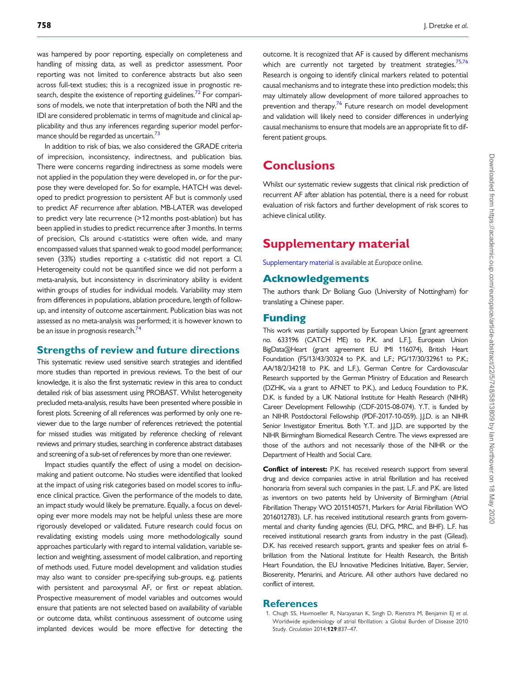<span id="page-11-0"></span>was hampered by poor reporting, especially on completeness and handling of missing data, as well as predictor assessment. Poor reporting was not limited to conference abstracts but also seen across full-text studies; this is a recognized issue in prognostic research, despite the existence of reporting guidelines.<sup>72</sup> For comparisons of models, we note that interpretation of both the NRI and the IDI are considered problematic in terms of magnitude and clinical applicability and thus any inferences regarding superior model perfor-mance should be regarded as uncertain.<sup>[73](#page-13-0)</sup>

In addition to risk of bias, we also considered the GRADE criteria of imprecision, inconsistency, indirectness, and publication bias. There were concerns regarding indirectness as some models were not applied in the population they were developed in, or for the purpose they were developed for. So for example, HATCH was developed to predict progression to persistent AF but is commonly used to predict AF recurrence after ablation. MB-LATER was developed to predict very late recurrence (>12 months post-ablation) but has been applied in studies to predict recurrence after 3 months. In terms of precision, CIs around c-statistics were often wide, and many encompassed values that spanned weak to good model performance; seven (33%) studies reporting a c-statistic did not report a CI. Heterogeneity could not be quantified since we did not perform a meta-analysis, but inconsistency in discriminatory ability is evident within groups of studies for individual models. Variability may stem from differences in populations, ablation procedure, length of followup, and intensity of outcome ascertainment. Publication bias was not assessed as no meta-analysis was performed; it is however known to be an issue in prognosis research. $74$ 

# Strengths of review and future directions

This systematic review used sensitive search strategies and identified more studies than reported in previous reviews. To the best of our knowledge, it is also the first systematic review in this area to conduct detailed risk of bias assessment using PROBAST. Whilst heterogeneity precluded meta-analysis, results have been presented where possible in forest plots. Screening of all references was performed by only one reviewer due to the large number of references retrieved; the potential for missed studies was mitigated by reference checking of relevant reviews and primary studies, searching in conference abstract databases and screening of a sub-set of references by more than one reviewer.

Impact studies quantify the effect of using a model on decisionmaking and patient outcome. No studies were identified that looked at the impact of using risk categories based on model scores to influence clinical practice. Given the performance of the models to date, an impact study would likely be premature. Equally, a focus on developing ever more models may not be helpful unless these are more rigorously developed or validated. Future research could focus on revalidating existing models using more methodologically sound approaches particularly with regard to internal validation, variable selection and weighting, assessment of model calibration, and reporting of methods used. Future model development and validation studies may also want to consider pre-specifying sub-groups, e.g. patients with persistent and paroxysmal AF, or first or repeat ablation. Prospective measurement of model variables and outcomes would ensure that patients are not selected based on availability of variable or outcome data, whilst continuous assessment of outcome using implanted devices would be more effective for detecting the

outcome. It is recognized that AF is caused by different mechanisms which are currently not targeted by treatment strategies.<sup>75,76</sup> Research is ongoing to identify clinical markers related to potential causal mechanisms and to integrate these into prediction models; this may ultimately allow development of more tailored approaches to prevention and therapy.<sup>[76](#page-13-0)</sup> Future research on model development and validation will likely need to consider differences in underlying causal mechanisms to ensure that models are an appropriate fit to different patient groups.

# **Conclusions**

Whilst our systematic review suggests that clinical risk prediction of recurrent AF after ablation has potential, there is a need for robust evaluation of risk factors and further development of risk scores to achieve clinical utility.

# Supplementary material

[Supplementary material](https://academic.oup.com/europace/article-lookup/doi/10.1093/europace/euaa041#supplementary-data) is available at Europace online.

# Acknowledgements

The authors thank Dr Boliang Guo (University of Nottingham) for translating a Chinese paper.

# Funding

This work was partially supported by European Union [grant agreement no. 633196 (CATCH ME) to P.K. and L.F.], European Union BigData@Heart (grant agreement EU IMI 116074), British Heart Foundation (FS/13/43/30324 to P.K. and L.F.; PG/17/30/32961 to P.K.; AA/18/2/34218 to P.K. and L.F.), German Centre for Cardiovascular Research supported by the German Ministry of Education and Research (DZHK, via a grant to AFNET to P.K.), and Leducq Foundation to P.K. D.K. is funded by a UK National Institute for Health Research (NIHR) Career Development Fellowship (CDF-2015-08-074). Y.T. is funded by an NIHR Postdoctoral Fellowship (PDF-2017-10-059). J.J.D. is an NIHR Senior Investigator Emeritus. Both Y.T. and J.J.D. are supported by the NIHR Birmingham Biomedical Research Centre. The views expressed are those of the authors and not necessarily those of the NIHR or the Department of Health and Social Care.

Conflict of interest: P.K. has received research support from several drug and device companies active in atrial fibrillation and has received honoraria from several such companies in the past. L.F. and P.K. are listed as inventors on two patents held by University of Birmingham (Atrial Fibrillation Therapy WO 2015140571, Markers for Atrial Fibrillation WO 2016012783). L.F. has received institutional research grants from governmental and charity funding agencies (EU, DFG, MRC, and BHF). L.F. has received institutional research grants from industry in the past (Gilead). D.K. has received research support, grants and speaker fees on atrial fibrillation from the National Institute for Health Research, the British Heart Foundation, the EU Innovative Medicines Initiative, Bayer, Servier, Bioserenity, Menarini, and Atricure. All other authors have declared no conflict of interest.

# **References**

[1.](#page-1-0) Chugh SS, Havmoeller R, Narayanan K, Singh D, Rienstra M, Benjamin EJ et al. Worldwide epidemiology of atrial fibrillation: a Global Burden of Disease 2010 Study. Circulation 2014;129:837–47.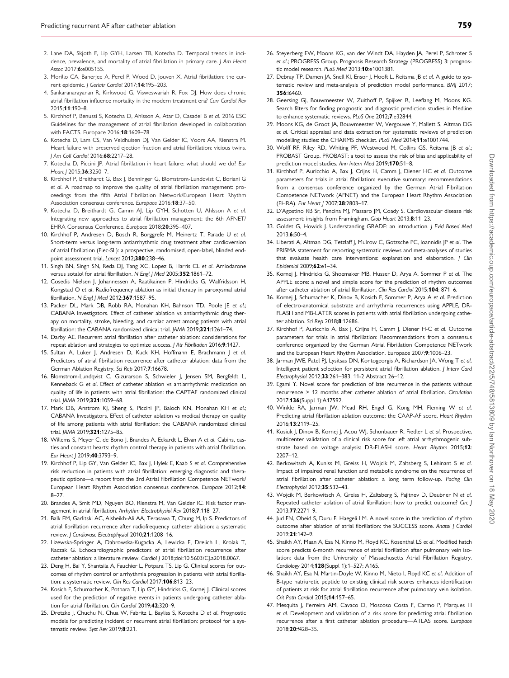- <span id="page-12-0"></span>[2.](#page-1-0) Lane DA, Skjoth F, Lip GYH, Larsen TB, Kotecha D. Temporal trends in incidence, prevalence, and mortality of atrial fibrillation in primary care. J Am Heart Assoc 2017;6:e005155.
- [3.](#page-1-0) Morillo CA, Banerjee A, Perel P, Wood D, Jouven X. Atrial fibrillation: the current epidemic. J Geriatr Cardiol 2017;14:195-203.
- [4.](#page-1-0) Sankaranarayanan R, Kirkwood G, Visweswariah R, Fox DJ. How does chronic atrial fibrillation influence mortality in the modern treatment era? Curr Cardiol Rev 2015;11:190–8.
- [5.](#page-1-0) Kirchhof P, Benussi S, Kotecha D, Ahlsson A, Atar D, Casadei B et al. 2016 ESC Guidelines for the management of atrial fibrillation developed in collaboration with EACTS. Europace 2016;18:1609–78
- [6.](#page-1-0) Kotecha D, Lam CS, Van Veldhuisen DJ, Van Gelder IC, Voors AA, Rienstra M. Heart failure with preserved ejection fraction and atrial fibrillation: vicious twins. J Am Coll Cardiol 2016;68:2217–28.
- [7.](#page-1-0) Kotecha D, Piccini JP. Atrial fibrillation in heart failure: what should we do? Eur Heart J 2015;36:3250–7.
- [8.](#page-1-0) Kirchhof P, Breithardt G, Bax J, Benninger G, Blomstrom-Lundqvist C, Boriani G et al. A roadmap to improve the quality of atrial fibrillation management: proceedings from the fifth Atrial Fibrillation Network/European Heart Rhythm Association consensus conference. Europace 2016;18:37–50.
- [9.](#page-1-0) Kotecha D, Breithardt G, Camm AJ, Lip GYH, Schotten U, Ahlsson A et al. Integrating new approaches to atrial fibrillation management: the 6th AFNET/ EHRA Consensus Conference. Europace 2018;20:395–407.
- [10.](#page-1-0) Kirchhof P, Andresen D, Bosch R, Borggrefe M, Meinertz T, Parade U et al. Short-term versus long-term antiarrhythmic drug treatment after cardioversion of atrial fibrillation (Flec-SL): a prospective, randomised, open-label, blinded endpoint assessment trial. Lancet 2012;380:238-46.
- [11.](#page-1-0) Singh BN, Singh SN, Reda DJ, Tang XC, Lopez B, Harris CL et al. Amiodarone versus sotalol for atrial fibrillation. N Engl J Med 2005;352:1861-72.
- [12.](#page-2-0) Cosedis Nielsen J, Johannessen A, Raatikainen P, Hindricks G, Walfridsson H, Kongstad O et al. Radiofrequency ablation as initial therapy in paroxysmal atrial fibrillation. N Engl J Med 2012;367:1587-95.
- [13.](#page-2-0) Packer DL, Mark DB, Robb RA, Monahan KH, Bahnson TD, Poole JE et al.; CABANA Investigators. Effect of catheter ablation vs antiarrhythmic drug therapy on mortality, stroke, bleeding, and cardiac arrest among patients with atrial fibrillation: the CABANA randomized clinical trial. JAMA 2019;321:1261-74.
- [14.](#page-2-0) Darby AE. Recurrent atrial fibrillation after catheter ablation: considerations for repeat ablation and strategies to optimize success. J Atr Fibrillation 2016;9:1427.
- [15.](#page-2-0) Sultan A, Luker J, Andresen D, Kuck KH, Hoffmann E, Brachmann J et al. Predictors of atrial fibrillation recurrence after catheter ablation: data from the German Ablation Registry. Sci Rep 2017;7:16678.
- [16.](#page-2-0) Blomstrom-Lundqvist C, Gizurarson S, Schwieler J, Jensen SM, Bergfeldt L, Kenneback G et al. Effect of catheter ablation vs antiarrhythmic medication on quality of life in patients with atrial fibrillation: the CAPTAF randomized clinical trial. JAMA 2019;321:1059-68.
- [17.](#page-2-0) Mark DB, Anstrom KJ, Sheng S, Piccini JP, Baloch KN, Monahan KH et al.; CABANA Investigators. Effect of catheter ablation vs medical therapy on quality of life among patients with atrial fibrillation: the CABANA randomized clinical trial. IAMA 2019:321:1275-85.
- [18.](#page-2-0) Willems S, Meyer C, de Bono J, Brandes A, Eckardt L, Elvan A et al. Cabins, castles and constant hearts: rhythm control therapy in patients with atrial fibrillation. Eur Heart J 2019;40:3793–9.
- [19.](#page-2-0) Kirchhof P, Lip GY, Van Gelder IC, Bax J, Hylek E, Kaab S et al. Comprehensive risk reduction in patients with atrial fibrillation: emerging diagnostic and therapeutic options—a report from the 3rd Atrial Fibrillation Competence NETwork/ European Heart Rhythm Association consensus conference. Europace 2012;14: 8–27.
- [20.](#page-2-0) Brandes A, Smit MD, Nguyen BO, Rienstra M, Van Gelder IC. Risk factor management in atrial fibrillation. Arrhythm Electrophysiol Rev 2018;7:118–27.
- [21.](#page-2-0) Balk EM, Garlitski AC, Alsheikh-Ali AA, Terasawa T, Chung M, Ip S. Predictors of atrial fibrillation recurrence after radiofrequency catheter ablation: a systematic review. J Cardiovasc Electrophysiol 2010;21:1208–16.
- [22.](#page-2-0) Lizewska-Springer A, Dabrowska-Kugacka A, Lewicka E, Drelich L, Krolak T, Raczak G. Echocardiographic predictors of atrial fibrillation recurrence after catheter ablation: a literature review. Cardiol J 2018;doi:10.5603/CJ.a2018.0067.
- [23.](#page-2-0) Deng H, Bai Y, Shantsila A, Fauchier L, Potpara TS, Lip G. Clinical scores for outcomes of rhythm control or arrhythmia progression in patients with atrial fibrillation: a systematic review. Clin Res Cardiol 2017;106:813–23.
- [24.](#page-2-0) Kosich F, Schumacher K, Potpara T, Lip GY, Hindricks G, Kornej J. Clinical scores used for the prediction of negative events in patients undergoing catheter ablation for atrial fibrillation. Clin Cardiol 2019;42:320–9.
- [25.](#page-2-0) Dretzke J, Chuchu N, Chua W, Fabritz L, Bayliss S, Kotecha D et al. Prognostic models for predicting incident or recurrent atrial fibrillation: protocol for a systematic review. Syst Rev 2019;8:221.
- [26](#page-2-0). Steyerberg EW, Moons KG, van der Windt DA, Hayden JA, Perel P, Schroter S et al.; PROGRESS Group. Prognosis Research Strategy (PROGRESS) 3: prognostic model research. PLoS Med 2013;10:e1001381.
- [27](#page-2-0). Debray TP, Damen JA, Snell KI, Ensor J, Hooft L, Reitsma JB et al. A guide to systematic review and meta-analysis of prediction model performance. BMJ 2017; 356:i6460.
- [28](#page-2-0). Geersing GJ, Bouwmeester W, Zuithoff P, Spijker R, Leeflang M, Moons KG. Search filters for finding prognostic and diagnostic prediction studies in Medline to enhance systematic reviews. PLoS One 2012;7:e32844.
- [29](#page-2-0). Moons KG, de Groot JA, Bouwmeester W, Vergouwe Y, Mallett S, Altman DG et al. Critical appraisal and data extraction for systematic reviews of prediction modelling studies: the CHARMS checklist. PLoS Med 2014;11:e1001744.
- [30](#page-3-0). Wolff RF, Riley RD, Whiting PF, Westwood M, Collins GS, Reitsma JB et al.; PROBAST Group. PROBAST: a tool to assess the risk of bias and applicability of prediction model studies. Ann Intern Med 2019;170:51–8.
- [31](#page-3-0). Kirchhof P, Auricchio A, Bax J, Crijns H, Camm J, Diener HC et al. Outcome parameters for trials in atrial fibrillation: executive summary: recommendations from a consensus conference organized by the German Atrial Fibrillation Competence NETwork (AFNET) and the European Heart Rhythm Association (EHRA). Eur Heart | 2007;28:2803-17.
- [32](#page-3-0). D'Agostino RB Sr, Pencina MJ, Massaro JM, Coady S. Cardiovascular disease risk assessment: insights from Framingham. Glob Heart 2013;8:11–23.
- [33](#page-3-0). Goldet G, Howick J. Understanding GRADE: an introduction. J Evid Based Med 2013;6:50–4.
- [34](#page-3-0). Liberati A, Altman DG, Tetzlaff J, Mulrow C, Gotzsche PC, Ioannidis JP et al. The PRISMA statement for reporting systematic reviews and meta-analyses of studies that evaluate health care interventions: explanation and elaboration. | Clin Epidemiol 2009;62:e1–34.
- 35. Kornej J, Hindricks G, Shoemaker MB, Husser D, Arya A, Sommer P et al. The APPLE score: a novel and simple score for the prediction of rhythm outcomes after catheter ablation of atrial fibrillation. Clin Res Cardiol 2015;104: 871–6.
- [36](#page-3-0). Kornej J, Schumacher K, Dinov B, Kosich F, Sommer P, Arya A et al. Prediction of electro-anatomical substrate and arrhythmia recurrences using APPLE, DR-FLASH and MB-LATER scores in patients with atrial fibrillation undergoing catheter ablation. Sci Rep 2018:8:12686.
- [37](#page-3-0). Kirchhof P, Auricchio A, Bax J, Crijns H, Camm J, Diener H-C et al. Outcome parameters for trials in atrial fibrillation: Recommendations from a consensus conference organized by the German Atrial Fibrillation Competence NETwork and the European Heart Rhythm Association. Europace 2007;9:1006–23.
- [38](#page-3-0). Jarman JWE, Patel PJ, Lysitsas DN, Kontogeorgis A, Richardson JA, Wong T et al. Intelligent patient selection for persistent atrial fibrillation ablation. *J Interv Card* Electrophysiol 2012;33:261–383. 11-2 Abstract 26–12.
- [39](#page-9-0). Egami Y. Novel score for prediction of late recurrence in the patients without recurrence > 12 months after catheter ablation of atrial fibrillation. Circulation 2017;136(Suppl 1):A17592.
- [40](#page-3-0). Winkle RA, Jarman JW, Mead RH, Engel G, Kong MH, Fleming W et al. Predicting atrial fibrillation ablation outcome: the CAAP-AF score. Heart Rhythm 2016;13:2119–25.
- [41](#page-3-0). Kosiuk J, Dinov B, Kornej J, Acou WJ, Schonbauer R, Fiedler L et al. Prospective, multicenter validation of a clinical risk score for left atrial arrhythmogenic substrate based on voltage analysis: DR-FLASH score. Heart Rhythm 2015;12: 2207–12.
- [42](#page-3-0). Berkowitsch A, Kuniss M, Greiss H, Wojcik M, Zaltsberg S, Lehinant S et al. Impact of impaired renal function and metabolic syndrome on the recurrence of atrial fibrillation after catheter ablation: a long term follow-up. Pacing Clin Electrophysiol 2012;35:532–43.
- [43](#page-3-0). Wojcik M, Berkowitsch A, Greiss H, Zaltsberg S, Pajitnev D, Deubner N et al. Repeated catheter ablation of atrial fibrillation: how to predict outcome? Circ | 2013;77:2271–9.
- [44](#page-3-0). Jud FN, Obeid S, Duru F, Haegeli LM. A novel score in the prediction of rhythm outcome after ablation of atrial fibrillation: the SUCCESS score. Anatol J Cardiol 2019;21:142–9.
- [45](#page-9-0). Shaikh AY, Maan A, Esa N, Kinno M, Floyd KC, Rosenthal LS et al. Modified hatch score predicts 6-month recurrence of atrial fibrillation after pulmonary vein isolation: data from the University of Massachusetts Atrial Fibrillation Registry. Cardiology 2014;128(Suppl 1):1–527; A165.
- [46](#page-3-0). Shaikh AY, Esa N, Martin-Doyle W, Kinno M, Nieto I, Floyd KC et al. Addition of B-type natriuretic peptide to existing clinical risk scores enhances identification of patients at risk for atrial fibrillation recurrence after pulmonary vein isolation. Crit Path Cardiol 2015;14:157–65.
- [47](#page-3-0). Mesquita J, Ferreira AM, Cavaco D, Moscoso Costa F, Carmo P, Marques H et al. Development and validation of a risk score for predicting atrial fibrillation recurrence after a first catheter ablation procedure—ATLAS score. Europace 2018;20:f428–35.